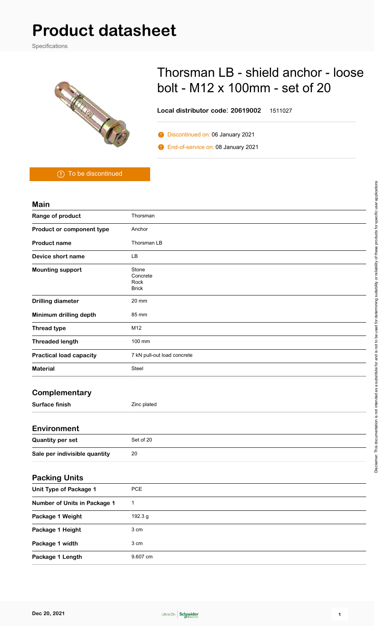# **Product datasheet**

Specifications



## Thorsman LB - shield anchor - loose bolt - M12 x 100mm - set of 20

**Local distributor code**: **20619002** 1511027

**Discontinued on: 06 January 2021** 

**O** End-of-service on: 08 January 2021

To be discontinued

#### **Main**

| Range of product                    | Thorsman                                  |
|-------------------------------------|-------------------------------------------|
| Product or component type           | Anchor                                    |
| <b>Product name</b>                 | Thorsman LB                               |
| Device short name                   | <b>LB</b>                                 |
| <b>Mounting support</b>             | Stone<br>Concrete<br>Rock<br><b>Brick</b> |
| <b>Drilling diameter</b>            | 20 mm                                     |
| Minimum drilling depth              | 85 mm                                     |
| <b>Thread type</b>                  | M12                                       |
| <b>Threaded length</b>              | 100 mm                                    |
| <b>Practical load capacity</b>      | 7 kN pull-out load concrete               |
| <b>Material</b>                     | Steel                                     |
| Complementary                       |                                           |
| <b>Surface finish</b>               | Zinc plated                               |
| <b>Environment</b>                  |                                           |
| <b>Quantity per set</b>             | Set of 20                                 |
| Sale per indivisible quantity       | 20                                        |
| <b>Packing Units</b>                |                                           |
| <b>Unit Type of Package 1</b>       | PCE                                       |
| <b>Number of Units in Package 1</b> | $\mathbf{1}$                              |
| Package 1 Weight                    | 192.3 g                                   |
| Package 1 Height                    | 3 cm                                      |
| Package 1 width                     | $3 \; \mathrm{cm}$                        |

Package 1 Length 9.607 cm